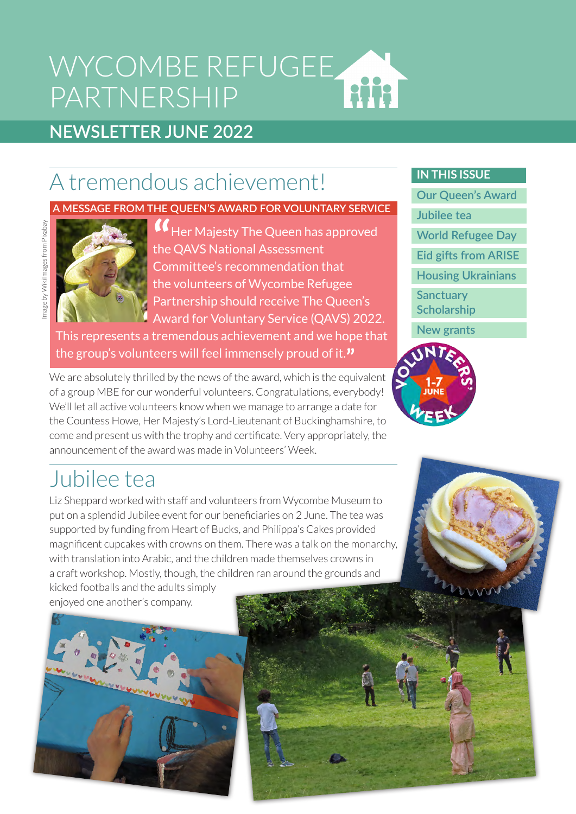### WYCOMBE REFUGEE HH PARTNERSHIP

### **NEWSLETTER JUNE 2022**

# A tremendous achievement!

#### **A MESSAGE FROM THE QUEEN'S AWARD FOR VOLUNTARY SERVICE**



Image by WikiImages from Pixabay

mage by Wikilmages from Pixabay

**"**<br>the Her Majesty The Queen has approved the QAVS National Assessment Committee's recommendation that the volunteers of Wycombe Refugee Partnership should receive The Queen's Award for Voluntary Service (QAVS) 2022.

This represents a tremendous achievement and we hope that the group's volunteers will feel immensely proud of it.**"**

We are absolutely thrilled by the news of the award, which is the equivalent of a group MBE for our wonderful volunteers. Congratulations, everybody! We'll let all active volunteers know when we manage to arrange a date for the Countess Howe, Her Majesty's Lord-Lieutenant of Buckinghamshire, to come and present us with the trophy and certificate. Very appropriately, the announcement of the award was made in Volunteers' Week.

### Jubilee tea

Liz Sheppard worked with staff and volunteers from Wycombe Museum to put on a splendid Jubilee event for our beneficiaries on 2 June. The tea was supported by funding from Heart of Bucks, and Philippa's Cakes provided magnificent cupcakes with crowns on them. There was a talk on the monarchy, with translation into Arabic, and the children made themselves crowns in a craft workshop. Mostly, though, the children ran around the grounds and

kicked footballs and the adults simply enjoyed one another's company.



**Our Queen's Award**

**Jubilee tea**

**[World Refugee Day](#page-1-0)**

**[Eid gifts from ARISE](#page-1-0)**

**[Housing Ukrainians](#page-2-0)**

**Sanctuary [Scholarship](#page-2-0)**

**[New grants](#page-2-0)**

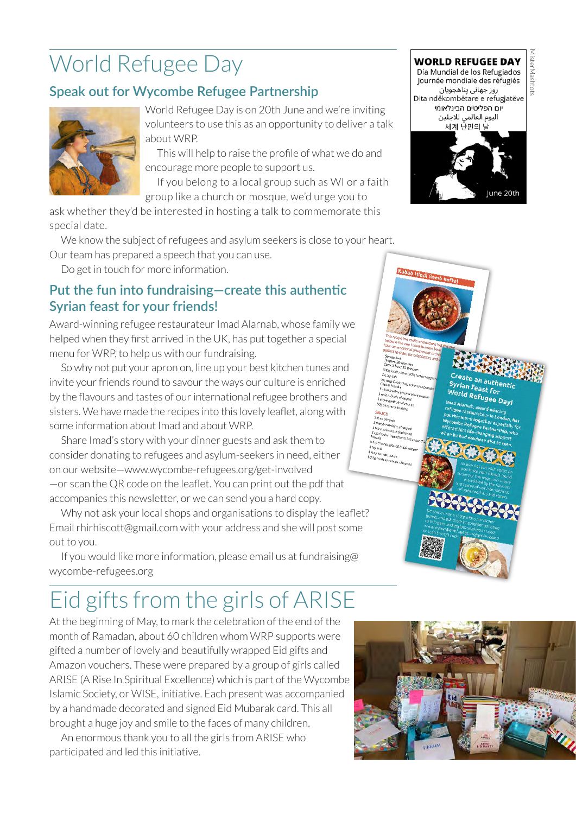# <span id="page-1-0"></span>World Refugee Day

### **Speak out for Wycombe Refugee Partnership**



World Refugee Day is on 20th June and we're inviting volunteers to use this as an opportunity to deliver a talk about WRP.

This will help to raise the profile of what we do and encourage more people to support us.

If you belong to a local group such as WI or a faith group like a church or mosque, we'd urge you to

ask whether they'd be interested in hosting a talk to commemorate this special date.

We know the subject of refugees and asylum seekers is close to your heart.

Our team has prepared a speech that you can use.

Do get in touch for more information.

#### **Put the fun into fundraising—create this authentic Syrian feast for your friends!**

Award-winning refugee restaurateur Imad Alarnab, whose family we helped when they first arrived in the UK, has put together a special menu for WRP, to help us with our fundraising.

So why not put your apron on, line up your best kitchen tunes and invite your friends round to savour the ways our culture is enriched by the flavours and tastes of our international refugee brothers and sisters. We have made the recipes into this lovely leaflet, along with some information about Imad and about WRP.

Share Imad's story with your dinner guests and ask them to consider donating to refugees and asylum-seekers in need, either on our website—[www.wycombe-refugees.org/get-involved](https://www.wycombe-refugees.org/get-involved) —or scan the QR code on the leaflet. You can print out the pdf that accompanies this newsletter, or we can send you a hard copy.

Why not ask your local shops and organisations to display the leaflet? Email [rhirhiscott@gmail.com](mailto:rhirhiscott@gmail.com) with your address and she will post some out to you.

[If you would like more information, please email us at fundraising@](mailto:fundraising@wycombe-refugees.org) wycombe-refugees.org

# Eid gifts from the girls of ARISE

At the beginning of May, to mark the celebration of the end of the month of Ramadan, about 60 children whom WRP supports were gifted a number of lovely and beautifully wrapped Eid gifts and Amazon vouchers. These were prepared by a group of girls called ARISE (A Rise In Spiritual Excellence) which is part of the Wycombe Islamic Society, or WISE, initiative. Each present was accompanied by a handmade decorated and signed Eid Mubarak card. This all brought a huge joy and smile to the faces of many children.

An enormous thank you to all the girls from ARISE who participated and led this initiative.



#### MisterMashtots**WORLD REFUGEE DAY** Día Mundial de los Refugiados



Create an authentic<br>Syrian Feast F Syrian Feast For<br>World past for **Syrian Feast for<br>World Refugee Day!**<br>I<sup>mad Alamab.aws...</sup>